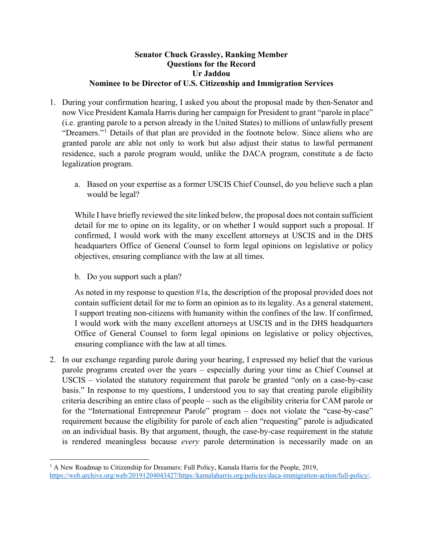#### **Senator Chuck Grassley, Ranking Member Questions for the Record Ur Jaddou Nominee to be Director of U.S. Citizenship and Immigration Services**

- 1. During your confirmation hearing, I asked you about the proposal made by then-Senator and now Vice President Kamala Harris during her campaign for President to grant "parole in place" (i.e. granting parole to a person already in the United States) to millions of unlawfully present "Dreamers."[1](#page-0-0) Details of that plan are provided in the footnote below. Since aliens who are granted parole are able not only to work but also adjust their status to lawful permanent residence, such a parole program would, unlike the DACA program, constitute a de facto legalization program.
	- a. Based on your expertise as a former USCIS Chief Counsel, do you believe such a plan would be legal?

While I have briefly reviewed the site linked below, the proposal does not contain sufficient detail for me to opine on its legality, or on whether I would support such a proposal. If confirmed, I would work with the many excellent attorneys at USCIS and in the DHS headquarters Office of General Counsel to form legal opinions on legislative or policy objectives, ensuring compliance with the law at all times.

b. Do you support such a plan?

 $\overline{\phantom{a}}$ 

As noted in my response to question #1a, the description of the proposal provided does not contain sufficient detail for me to form an opinion as to its legality. As a general statement, I support treating non-citizens with humanity within the confines of the law. If confirmed, I would work with the many excellent attorneys at USCIS and in the DHS headquarters Office of General Counsel to form legal opinions on legislative or policy objectives, ensuring compliance with the law at all times.

2. In our exchange regarding parole during your hearing, I expressed my belief that the various parole programs created over the years – especially during your time as Chief Counsel at USCIS – violated the statutory requirement that parole be granted "only on a case-by-case basis." In response to my questions, I understood you to say that creating parole eligibility criteria describing an entire class of people – such as the eligibility criteria for CAM parole or for the "International Entrepreneur Parole" program – does not violate the "case-by-case" requirement because the eligibility for parole of each alien "requesting" parole is adjudicated on an individual basis. By that argument, though, the case-by-case requirement in the statute is rendered meaningless because *every* parole determination is necessarily made on an

<span id="page-0-0"></span><sup>&</sup>lt;sup>1</sup> A New Roadmap to Citizenship for Dreamers: Full Policy, Kamala Harris for the People, 2019, <https://web.archive.org/web/20191204043427/https:/kamalaharris.org/policies/daca-immigration-action/full-policy/>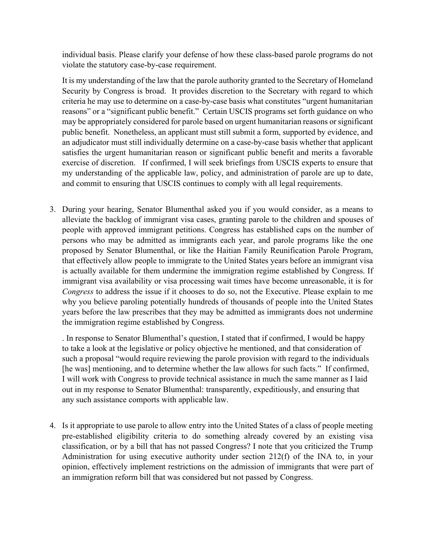individual basis. Please clarify your defense of how these class-based parole programs do not violate the statutory case-by-case requirement.

It is my understanding of the law that the parole authority granted to the Secretary of Homeland Security by Congress is broad. It provides discretion to the Secretary with regard to which criteria he may use to determine on a case-by-case basis what constitutes "urgent humanitarian reasons" or a "significant public benefit." Certain USCIS programs set forth guidance on who may be appropriately considered for parole based on urgent humanitarian reasons or significant public benefit. Nonetheless, an applicant must still submit a form, supported by evidence, and an adjudicator must still individually determine on a case-by-case basis whether that applicant satisfies the urgent humanitarian reason or significant public benefit and merits a favorable exercise of discretion. If confirmed, I will seek briefings from USCIS experts to ensure that my understanding of the applicable law, policy, and administration of parole are up to date, and commit to ensuring that USCIS continues to comply with all legal requirements.

3. During your hearing, Senator Blumenthal asked you if you would consider, as a means to alleviate the backlog of immigrant visa cases, granting parole to the children and spouses of people with approved immigrant petitions. Congress has established caps on the number of persons who may be admitted as immigrants each year, and parole programs like the one proposed by Senator Blumenthal, or like the Haitian Family Reunification Parole Program, that effectively allow people to immigrate to the United States years before an immigrant visa is actually available for them undermine the immigration regime established by Congress. If immigrant visa availability or visa processing wait times have become unreasonable, it is for *Congress* to address the issue if it chooses to do so, not the Executive. Please explain to me why you believe paroling potentially hundreds of thousands of people into the United States years before the law prescribes that they may be admitted as immigrants does not undermine the immigration regime established by Congress.

. In response to Senator Blumenthal's question, I stated that if confirmed, I would be happy to take a look at the legislative or policy objective he mentioned, and that consideration of such a proposal "would require reviewing the parole provision with regard to the individuals [he was] mentioning, and to determine whether the law allows for such facts." If confirmed, I will work with Congress to provide technical assistance in much the same manner as I laid out in my response to Senator Blumenthal: transparently, expeditiously, and ensuring that any such assistance comports with applicable law.

4. Is it appropriate to use parole to allow entry into the United States of a class of people meeting pre-established eligibility criteria to do something already covered by an existing visa classification, or by a bill that has not passed Congress? I note that you criticized the Trump Administration for using executive authority under section 212(f) of the INA to, in your opinion, effectively implement restrictions on the admission of immigrants that were part of an immigration reform bill that was considered but not passed by Congress.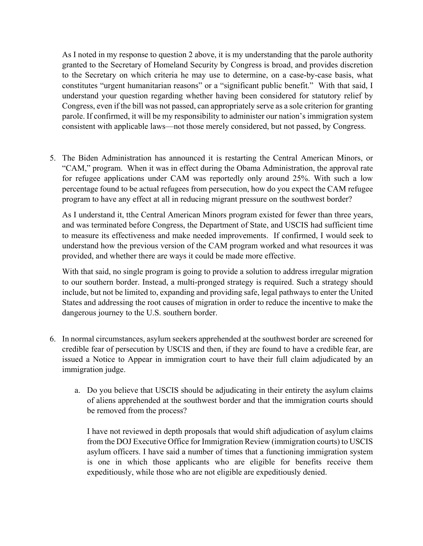As I noted in my response to question 2 above, it is my understanding that the parole authority granted to the Secretary of Homeland Security by Congress is broad, and provides discretion to the Secretary on which criteria he may use to determine, on a case-by-case basis, what constitutes "urgent humanitarian reasons" or a "significant public benefit." With that said, I understand your question regarding whether having been considered for statutory relief by Congress, even if the bill was not passed, can appropriately serve as a sole criterion for granting parole. If confirmed, it will be my responsibility to administer our nation's immigration system consistent with applicable laws—not those merely considered, but not passed, by Congress.

5. The Biden Administration has announced it is restarting the Central American Minors, or "CAM," program. When it was in effect during the Obama Administration, the approval rate for refugee applications under CAM was reportedly only around 25%. With such a low percentage found to be actual refugees from persecution, how do you expect the CAM refugee program to have any effect at all in reducing migrant pressure on the southwest border?

As I understand it, tthe Central American Minors program existed for fewer than three years, and was terminated before Congress, the Department of State, and USCIS had sufficient time to measure its effectiveness and make needed improvements. If confirmed, I would seek to understand how the previous version of the CAM program worked and what resources it was provided, and whether there are ways it could be made more effective.

With that said, no single program is going to provide a solution to address irregular migration to our southern border. Instead, a multi-pronged strategy is required. Such a strategy should include, but not be limited to, expanding and providing safe, legal pathways to enter the United States and addressing the root causes of migration in order to reduce the incentive to make the dangerous journey to the U.S. southern border.

- 6. In normal circumstances, asylum seekers apprehended at the southwest border are screened for credible fear of persecution by USCIS and then, if they are found to have a credible fear, are issued a Notice to Appear in immigration court to have their full claim adjudicated by an immigration judge.
	- a. Do you believe that USCIS should be adjudicating in their entirety the asylum claims of aliens apprehended at the southwest border and that the immigration courts should be removed from the process?

I have not reviewed in depth proposals that would shift adjudication of asylum claims from the DOJ Executive Office for Immigration Review (immigration courts) to USCIS asylum officers. I have said a number of times that a functioning immigration system is one in which those applicants who are eligible for benefits receive them expeditiously, while those who are not eligible are expeditiously denied.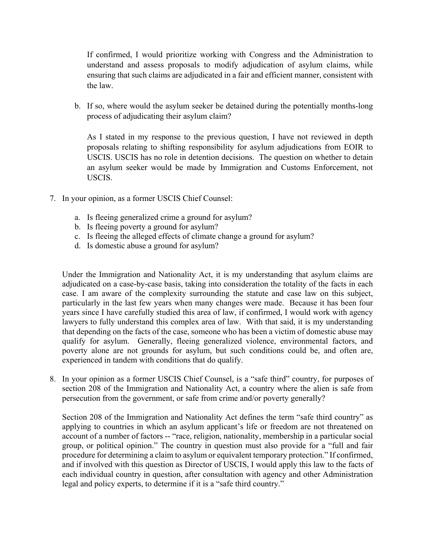If confirmed, I would prioritize working with Congress and the Administration to understand and assess proposals to modify adjudication of asylum claims, while ensuring that such claims are adjudicated in a fair and efficient manner, consistent with the law.

b. If so, where would the asylum seeker be detained during the potentially months-long process of adjudicating their asylum claim?

As I stated in my response to the previous question, I have not reviewed in depth proposals relating to shifting responsibility for asylum adjudications from EOIR to USCIS. USCIS has no role in detention decisions. The question on whether to detain an asylum seeker would be made by Immigration and Customs Enforcement, not USCIS.

- 7. In your opinion, as a former USCIS Chief Counsel:
	- a. Is fleeing generalized crime a ground for asylum?
	- b. Is fleeing poverty a ground for asylum?
	- c. Is fleeing the alleged effects of climate change a ground for asylum?
	- d. Is domestic abuse a ground for asylum?

Under the Immigration and Nationality Act, it is my understanding that asylum claims are adjudicated on a case-by-case basis, taking into consideration the totality of the facts in each case. I am aware of the complexity surrounding the statute and case law on this subject, particularly in the last few years when many changes were made. Because it has been four years since I have carefully studied this area of law, if confirmed, I would work with agency lawyers to fully understand this complex area of law. With that said, it is my understanding that depending on the facts of the case, someone who has been a victim of domestic abuse may qualify for asylum. Generally, fleeing generalized violence, environmental factors, and poverty alone are not grounds for asylum, but such conditions could be, and often are, experienced in tandem with conditions that do qualify.

8. In your opinion as a former USCIS Chief Counsel, is a "safe third" country, for purposes of section 208 of the Immigration and Nationality Act, a country where the alien is safe from persecution from the government, or safe from crime and/or poverty generally?

Section 208 of the Immigration and Nationality Act defines the term "safe third country" as applying to countries in which an asylum applicant's life or freedom are not threatened on account of a number of factors -- "race, religion, nationality, membership in a particular social group, or political opinion." The country in question must also provide for a "full and fair procedure for determining a claim to asylum or equivalent temporary protection." If confirmed, and if involved with this question as Director of USCIS, I would apply this law to the facts of each individual country in question, after consultation with agency and other Administration legal and policy experts, to determine if it is a "safe third country."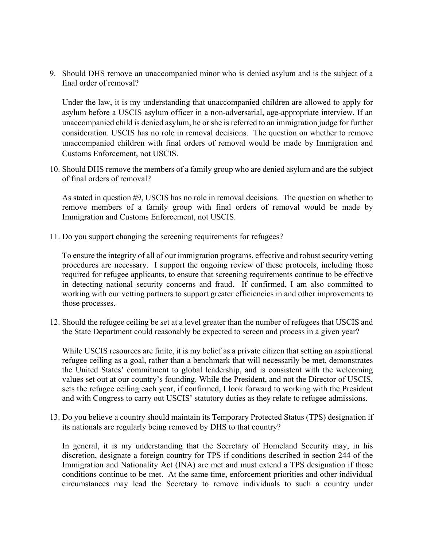9. Should DHS remove an unaccompanied minor who is denied asylum and is the subject of a final order of removal?

Under the law, it is my understanding that unaccompanied children are allowed to apply for asylum before a USCIS asylum officer in a non-adversarial, age-appropriate interview. If an unaccompanied child is denied asylum, he or she is referred to an immigration judge for further consideration. USCIS has no role in removal decisions. The question on whether to remove unaccompanied children with final orders of removal would be made by Immigration and Customs Enforcement, not USCIS.

10. Should DHS remove the members of a family group who are denied asylum and are the subject of final orders of removal?

As stated in question #9, USCIS has no role in removal decisions. The question on whether to remove members of a family group with final orders of removal would be made by Immigration and Customs Enforcement, not USCIS.

11. Do you support changing the screening requirements for refugees?

To ensure the integrity of all of our immigration programs, effective and robust security vetting procedures are necessary. I support the ongoing review of these protocols, including those required for refugee applicants, to ensure that screening requirements continue to be effective in detecting national security concerns and fraud. If confirmed, I am also committed to working with our vetting partners to support greater efficiencies in and other improvements to those processes.

12. Should the refugee ceiling be set at a level greater than the number of refugees that USCIS and the State Department could reasonably be expected to screen and process in a given year?

While USCIS resources are finite, it is my belief as a private citizen that setting an aspirational refugee ceiling as a goal, rather than a benchmark that will necessarily be met, demonstrates the United States' commitment to global leadership, and is consistent with the welcoming values set out at our country's founding. While the President, and not the Director of USCIS, sets the refugee ceiling each year, if confirmed, I look forward to working with the President and with Congress to carry out USCIS' statutory duties as they relate to refugee admissions.

13. Do you believe a country should maintain its Temporary Protected Status (TPS) designation if its nationals are regularly being removed by DHS to that country?

In general, it is my understanding that the Secretary of Homeland Security may, in his discretion, designate a foreign country for TPS if conditions described in section 244 of the Immigration and Nationality Act (INA) are met and must extend a TPS designation if those conditions continue to be met. At the same time, enforcement priorities and other individual circumstances may lead the Secretary to remove individuals to such a country under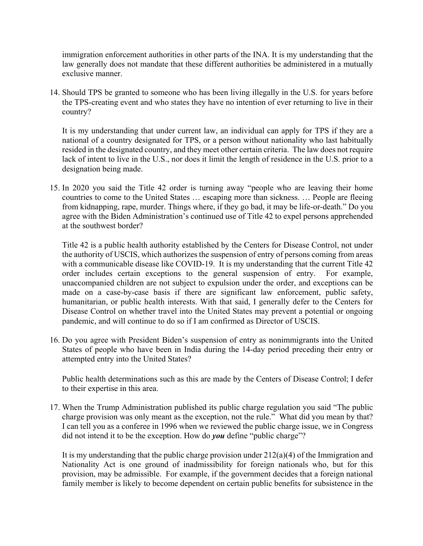immigration enforcement authorities in other parts of the INA. It is my understanding that the law generally does not mandate that these different authorities be administered in a mutually exclusive manner.

14. Should TPS be granted to someone who has been living illegally in the U.S. for years before the TPS-creating event and who states they have no intention of ever returning to live in their country?

It is my understanding that under current law, an individual can apply for TPS if they are a national of a country designated for TPS, or a person without nationality who last habitually resided in the designated country, and they meet other certain criteria. The law does not require lack of intent to live in the U.S., nor does it limit the length of residence in the U.S. prior to a designation being made.

15. In 2020 you said the Title 42 order is turning away "people who are leaving their home countries to come to the United States … escaping more than sickness. … People are fleeing from kidnapping, rape, murder. Things where, if they go bad, it may be life-or-death." Do you agree with the Biden Administration's continued use of Title 42 to expel persons apprehended at the southwest border?

Title 42 is a public health authority established by the Centers for Disease Control, not under the authority of USCIS, which authorizes the suspension of entry of persons coming from areas with a communicable disease like COVID-19. It is my understanding that the current Title 42 order includes certain exceptions to the general suspension of entry. For example, unaccompanied children are not subject to expulsion under the order, and exceptions can be made on a case-by-case basis if there are significant law enforcement, public safety, humanitarian, or public health interests. With that said, I generally defer to the Centers for Disease Control on whether travel into the United States may prevent a potential or ongoing pandemic, and will continue to do so if I am confirmed as Director of USCIS.

16. Do you agree with President Biden's suspension of entry as nonimmigrants into the United States of people who have been in India during the 14-day period preceding their entry or attempted entry into the United States?

Public health determinations such as this are made by the Centers of Disease Control; I defer to their expertise in this area.

17. When the Trump Administration published its public charge regulation you said "The public charge provision was only meant as the exception, not the rule." What did you mean by that? I can tell you as a conferee in 1996 when we reviewed the public charge issue, we in Congress did not intend it to be the exception. How do *you* define "public charge"?

It is my understanding that the public charge provision under 212(a)(4) of the Immigration and Nationality Act is one ground of inadmissibility for foreign nationals who, but for this provision, may be admissible. For example, if the government decides that a foreign national family member is likely to become dependent on certain public benefits for subsistence in the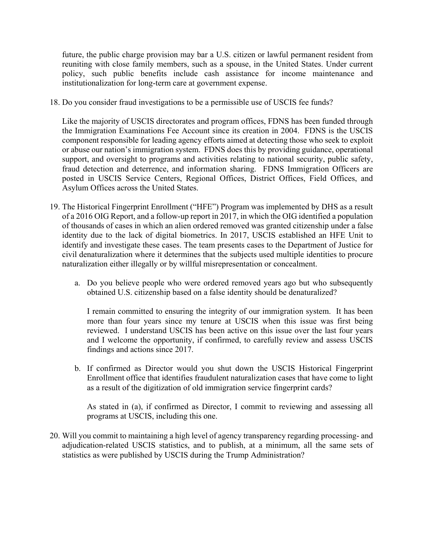future, the public charge provision may bar a U.S. citizen or lawful permanent resident from reuniting with close family members, such as a spouse, in the United States. Under current policy, such public benefits include cash assistance for income maintenance and institutionalization for long-term care at government expense.

18. Do you consider fraud investigations to be a permissible use of USCIS fee funds?

Like the majority of USCIS directorates and program offices, FDNS has been funded through the Immigration Examinations Fee Account since its creation in 2004. FDNS is the USCIS component responsible for leading agency efforts aimed at detecting those who seek to exploit or abuse our nation's immigration system. FDNS does this by providing guidance, operational support, and oversight to programs and activities relating to national security, public safety, fraud detection and deterrence, and information sharing. FDNS Immigration Officers are posted in USCIS Service Centers, Regional Offices, District Offices, Field Offices, and Asylum Offices across the United States.

- 19. The Historical Fingerprint Enrollment ("HFE") Program was implemented by DHS as a result of a 2016 OIG Report, and a follow-up report in 2017, in which the OIG identified a population of thousands of cases in which an alien ordered removed was granted citizenship under a false identity due to the lack of digital biometrics. In 2017, USCIS established an HFE Unit to identify and investigate these cases. The team presents cases to the Department of Justice for civil denaturalization where it determines that the subjects used multiple identities to procure naturalization either illegally or by willful misrepresentation or concealment.
	- a. Do you believe people who were ordered removed years ago but who subsequently obtained U.S. citizenship based on a false identity should be denaturalized?

I remain committed to ensuring the integrity of our immigration system. It has been more than four years since my tenure at USCIS when this issue was first being reviewed. I understand USCIS has been active on this issue over the last four years and I welcome the opportunity, if confirmed, to carefully review and assess USCIS findings and actions since 2017.

b. If confirmed as Director would you shut down the USCIS Historical Fingerprint Enrollment office that identifies fraudulent naturalization cases that have come to light as a result of the digitization of old immigration service fingerprint cards?

As stated in (a), if confirmed as Director, I commit to reviewing and assessing all programs at USCIS, including this one.

20. Will you commit to maintaining a high level of agency transparency regarding processing- and adjudication-related USCIS statistics, and to publish, at a minimum, all the same sets of statistics as were published by USCIS during the Trump Administration?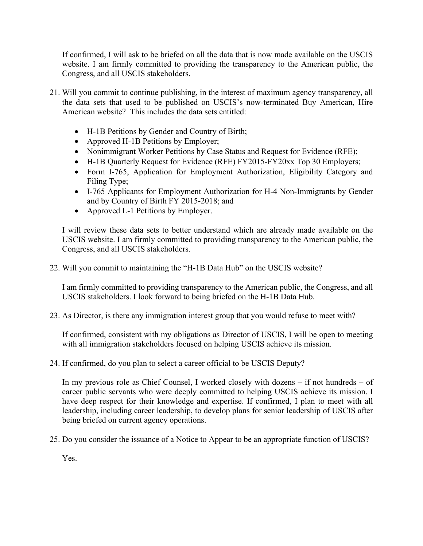If confirmed, I will ask to be briefed on all the data that is now made available on the USCIS website. I am firmly committed to providing the transparency to the American public, the Congress, and all USCIS stakeholders.

- 21. Will you commit to continue publishing, in the interest of maximum agency transparency, all the data sets that used to be published on USCIS's now-terminated Buy American, Hire American website? This includes the data sets entitled:
	- H-1B Petitions by Gender and Country of Birth;
	- Approved H-1B Petitions by Employer;
	- Nonimmigrant Worker Petitions by Case Status and Request for Evidence (RFE);
	- H-1B Quarterly Request for Evidence (RFE) FY2015-FY20xx Top 30 Employers;
	- Form I-765, Application for Employment Authorization, Eligibility Category and Filing Type;
	- I-765 Applicants for Employment Authorization for H-4 Non-Immigrants by Gender and by Country of Birth FY 2015-2018; and
	- Approved L-1 Petitions by Employer.

I will review these data sets to better understand which are already made available on the USCIS website. I am firmly committed to providing transparency to the American public, the Congress, and all USCIS stakeholders.

22. Will you commit to maintaining the "H-1B Data Hub" on the USCIS website?

I am firmly committed to providing transparency to the American public, the Congress, and all USCIS stakeholders. I look forward to being briefed on the H-1B Data Hub.

23. As Director, is there any immigration interest group that you would refuse to meet with?

If confirmed, consistent with my obligations as Director of USCIS, I will be open to meeting with all immigration stakeholders focused on helping USCIS achieve its mission.

24. If confirmed, do you plan to select a career official to be USCIS Deputy?

In my previous role as Chief Counsel, I worked closely with dozens – if not hundreds – of career public servants who were deeply committed to helping USCIS achieve its mission. I have deep respect for their knowledge and expertise. If confirmed, I plan to meet with all leadership, including career leadership, to develop plans for senior leadership of USCIS after being briefed on current agency operations.

25. Do you consider the issuance of a Notice to Appear to be an appropriate function of USCIS?

Yes.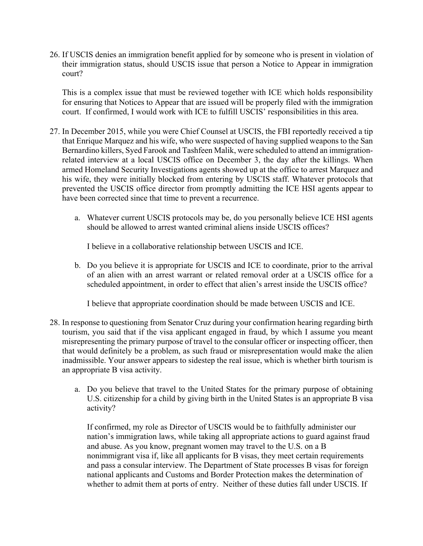26. If USCIS denies an immigration benefit applied for by someone who is present in violation of their immigration status, should USCIS issue that person a Notice to Appear in immigration court?

This is a complex issue that must be reviewed together with ICE which holds responsibility for ensuring that Notices to Appear that are issued will be properly filed with the immigration court. If confirmed, I would work with ICE to fulfill USCIS' responsibilities in this area.

- 27. In December 2015, while you were Chief Counsel at USCIS, the FBI reportedly received a tip that Enrique Marquez and his wife, who were suspected of having supplied weapons to the San Bernardino killers, Syed Farook and Tashfeen Malik, were scheduled to attend an immigrationrelated interview at a local USCIS office on December 3, the day after the killings. When armed Homeland Security Investigations agents showed up at the office to arrest Marquez and his wife, they were initially blocked from entering by USCIS staff. Whatever protocols that prevented the USCIS office director from promptly admitting the ICE HSI agents appear to have been corrected since that time to prevent a recurrence.
	- a. Whatever current USCIS protocols may be, do you personally believe ICE HSI agents should be allowed to arrest wanted criminal aliens inside USCIS offices?

I believe in a collaborative relationship between USCIS and ICE.

b. Do you believe it is appropriate for USCIS and ICE to coordinate, prior to the arrival of an alien with an arrest warrant or related removal order at a USCIS office for a scheduled appointment, in order to effect that alien's arrest inside the USCIS office?

I believe that appropriate coordination should be made between USCIS and ICE.

- 28. In response to questioning from Senator Cruz during your confirmation hearing regarding birth tourism, you said that if the visa applicant engaged in fraud, by which I assume you meant misrepresenting the primary purpose of travel to the consular officer or inspecting officer, then that would definitely be a problem, as such fraud or misrepresentation would make the alien inadmissible. Your answer appears to sidestep the real issue, which is whether birth tourism is an appropriate B visa activity.
	- a. Do you believe that travel to the United States for the primary purpose of obtaining U.S. citizenship for a child by giving birth in the United States is an appropriate B visa activity?

If confirmed, my role as Director of USCIS would be to faithfully administer our nation's immigration laws, while taking all appropriate actions to guard against fraud and abuse. As you know, pregnant women may travel to the U.S. on a B nonimmigrant visa if, like all applicants for B visas, they meet certain requirements and pass a consular interview. The Department of State processes B visas for foreign national applicants and Customs and Border Protection makes the determination of whether to admit them at ports of entry. Neither of these duties fall under USCIS. If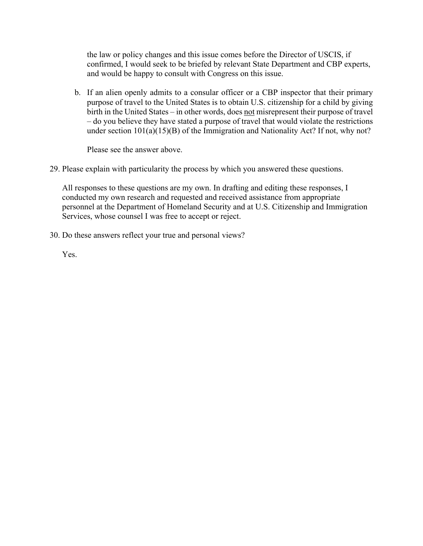the law or policy changes and this issue comes before the Director of USCIS, if confirmed, I would seek to be briefed by relevant State Department and CBP experts, and would be happy to consult with Congress on this issue.

b. If an alien openly admits to a consular officer or a CBP inspector that their primary purpose of travel to the United States is to obtain U.S. citizenship for a child by giving birth in the United States – in other words, does not misrepresent their purpose of travel – do you believe they have stated a purpose of travel that would violate the restrictions under section 101(a)(15)(B) of the Immigration and Nationality Act? If not, why not?

Please see the answer above.

29. Please explain with particularity the process by which you answered these questions.

All responses to these questions are my own. In drafting and editing these responses, I conducted my own research and requested and received assistance from appropriate personnel at the Department of Homeland Security and at U.S. Citizenship and Immigration Services, whose counsel I was free to accept or reject.

30. Do these answers reflect your true and personal views?

Yes.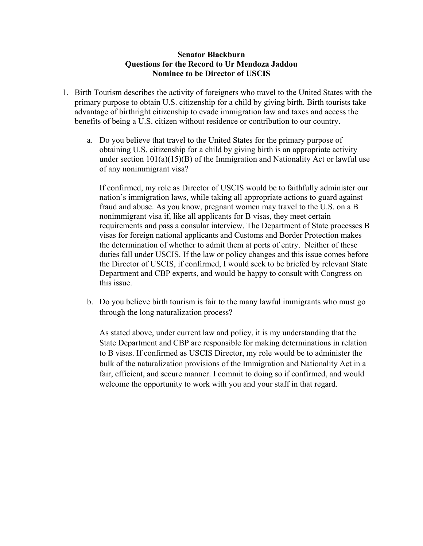#### **Senator Blackburn Questions for the Record to Ur Mendoza Jaddou Nominee to be Director of USCIS**

- 1. Birth Tourism describes the activity of foreigners who travel to the United States with the primary purpose to obtain U.S. citizenship for a child by giving birth. Birth tourists take advantage of birthright citizenship to evade immigration law and taxes and access the benefits of being a U.S. citizen without residence or contribution to our country.
	- a. Do you believe that travel to the United States for the primary purpose of obtaining U.S. citizenship for a child by giving birth is an appropriate activity under section  $101(a)(15)(B)$  of the Immigration and Nationality Act or lawful use of any nonimmigrant visa?

If confirmed, my role as Director of USCIS would be to faithfully administer our nation's immigration laws, while taking all appropriate actions to guard against fraud and abuse. As you know, pregnant women may travel to the U.S. on a B nonimmigrant visa if, like all applicants for B visas, they meet certain requirements and pass a consular interview. The Department of State processes B visas for foreign national applicants and Customs and Border Protection makes the determination of whether to admit them at ports of entry. Neither of these duties fall under USCIS. If the law or policy changes and this issue comes before the Director of USCIS, if confirmed, I would seek to be briefed by relevant State Department and CBP experts, and would be happy to consult with Congress on this issue.

b. Do you believe birth tourism is fair to the many lawful immigrants who must go through the long naturalization process?

As stated above, under current law and policy, it is my understanding that the State Department and CBP are responsible for making determinations in relation to B visas. If confirmed as USCIS Director, my role would be to administer the bulk of the naturalization provisions of the Immigration and Nationality Act in a fair, efficient, and secure manner. I commit to doing so if confirmed, and would welcome the opportunity to work with you and your staff in that regard.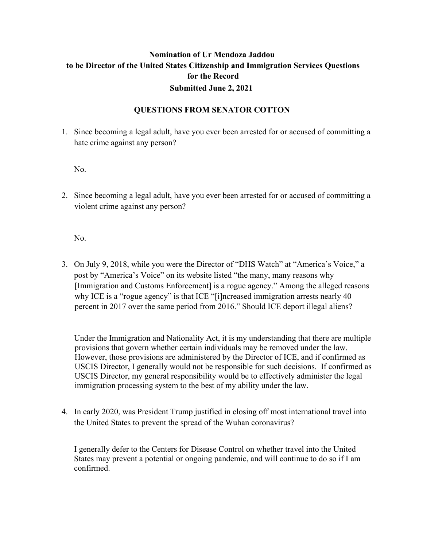### **Nomination of Ur Mendoza Jaddou to be Director of the United States Citizenship and Immigration Services Questions for the Record Submitted June 2, 2021**

#### **QUESTIONS FROM SENATOR COTTON**

1. Since becoming a legal adult, have you ever been arrested for or accused of committing a hate crime against any person?

No.

2. Since becoming a legal adult, have you ever been arrested for or accused of committing a violent crime against any person?

No.

3. On July 9, 2018, while you were the Director of "DHS Watch" at "America's Voice," a post by "America's Voice" on its website listed "the many, many reasons why [Immigration and Customs Enforcement] is a rogue agency." Among the alleged reasons why ICE is a "rogue agency" is that ICE "[i]ncreased immigration arrests nearly 40 percent in 2017 over the same period from 2016." Should ICE deport illegal aliens?

Under the Immigration and Nationality Act, it is my understanding that there are multiple provisions that govern whether certain individuals may be removed under the law. However, those provisions are administered by the Director of ICE, and if confirmed as USCIS Director, I generally would not be responsible for such decisions. If confirmed as USCIS Director, my general responsibility would be to effectively administer the legal immigration processing system to the best of my ability under the law.

4. In early 2020, was President Trump justified in closing off most international travel into the United States to prevent the spread of the Wuhan coronavirus?

I generally defer to the Centers for Disease Control on whether travel into the United States may prevent a potential or ongoing pandemic, and will continue to do so if I am confirmed.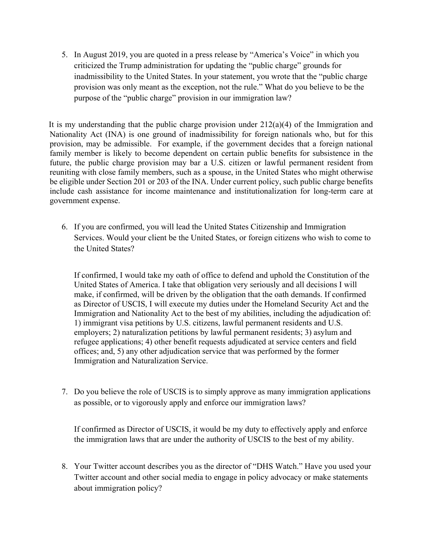5. In August 2019, you are quoted in a press release by "America's Voice" in which you criticized the Trump administration for updating the "public charge" grounds for inadmissibility to the United States. In your statement, you wrote that the "public charge provision was only meant as the exception, not the rule." What do you believe to be the purpose of the "public charge" provision in our immigration law?

It is my understanding that the public charge provision under  $212(a)(4)$  of the Immigration and Nationality Act (INA) is one ground of inadmissibility for foreign nationals who, but for this provision, may be admissible. For example, if the government decides that a foreign national family member is likely to become dependent on certain public benefits for subsistence in the future, the public charge provision may bar a U.S. citizen or lawful permanent resident from reuniting with close family members, such as a spouse, in the United States who might otherwise be eligible under Section 201 or 203 of the INA. Under current policy, such public charge benefits include cash assistance for income maintenance and institutionalization for long-term care at government expense.

6. If you are confirmed, you will lead the United States Citizenship and Immigration Services. Would your client be the United States, or foreign citizens who wish to come to the United States?

If confirmed, I would take my oath of office to defend and uphold the Constitution of the United States of America. I take that obligation very seriously and all decisions I will make, if confirmed, will be driven by the obligation that the oath demands. If confirmed as Director of USCIS, I will execute my duties under the Homeland Security Act and the Immigration and Nationality Act to the best of my abilities, including the adjudication of: 1) immigrant visa petitions by U.S. citizens, lawful permanent residents and U.S. employers; 2) naturalization petitions by lawful permanent residents; 3) asylum and refugee applications; 4) other benefit requests adjudicated at service centers and field offices; and, 5) any other adjudication service that was performed by the former Immigration and Naturalization Service.

7. Do you believe the role of USCIS is to simply approve as many immigration applications as possible, or to vigorously apply and enforce our immigration laws?

If confirmed as Director of USCIS, it would be my duty to effectively apply and enforce the immigration laws that are under the authority of USCIS to the best of my ability.

8. Your Twitter account describes you as the director of "DHS Watch." Have you used your Twitter account and other social media to engage in policy advocacy or make statements about immigration policy?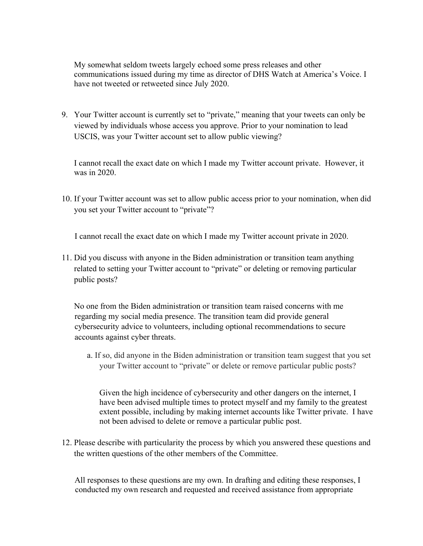My somewhat seldom tweets largely echoed some press releases and other communications issued during my time as director of DHS Watch at America's Voice. I have not tweeted or retweeted since July 2020.

9. Your Twitter account is currently set to "private," meaning that your tweets can only be viewed by individuals whose access you approve. Prior to your nomination to lead USCIS, was your Twitter account set to allow public viewing?

I cannot recall the exact date on which I made my Twitter account private. However, it was in 2020.

10. If your Twitter account was set to allow public access prior to your nomination, when did you set your Twitter account to "private"?

I cannot recall the exact date on which I made my Twitter account private in 2020.

11. Did you discuss with anyone in the Biden administration or transition team anything related to setting your Twitter account to "private" or deleting or removing particular public posts?

No one from the Biden administration or transition team raised concerns with me regarding my social media presence. The transition team did provide general cybersecurity advice to volunteers, including optional recommendations to secure accounts against cyber threats.

a. If so, did anyone in the Biden administration or transition team suggest that you set your Twitter account to "private" or delete or remove particular public posts?

Given the high incidence of cybersecurity and other dangers on the internet, I have been advised multiple times to protect myself and my family to the greatest extent possible, including by making internet accounts like Twitter private. I have not been advised to delete or remove a particular public post.

12. Please describe with particularity the process by which you answered these questions and the written questions of the other members of the Committee.

 All responses to these questions are my own. In drafting and editing these responses, I conducted my own research and requested and received assistance from appropriate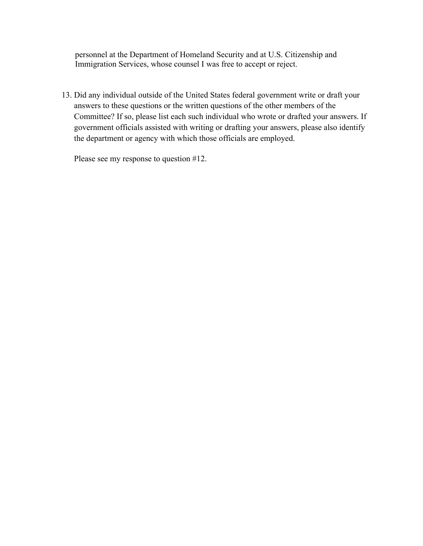personnel at the Department of Homeland Security and at U.S. Citizenship and Immigration Services, whose counsel I was free to accept or reject.

13. Did any individual outside of the United States federal government write or draft your answers to these questions or the written questions of the other members of the Committee? If so, please list each such individual who wrote or drafted your answers. If government officials assisted with writing or drafting your answers, please also identify the department or agency with which those officials are employed.

Please see my response to question #12.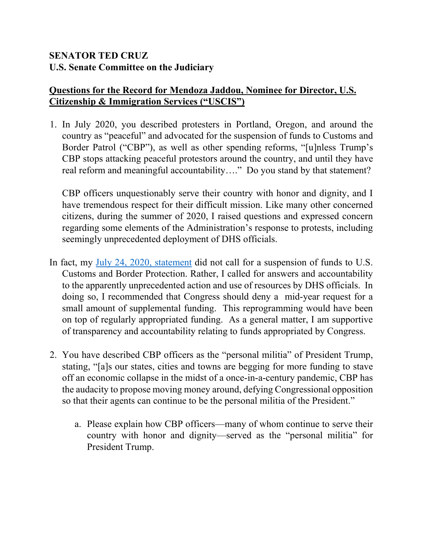## **SENATOR TED CRUZ U.S. Senate Committee on the Judiciary**

## **Questions for the Record for Mendoza Jaddou, Nominee for Director, U.S. Citizenship & Immigration Services ("USCIS")**

1. In July 2020, you described protesters in Portland, Oregon, and around the country as "peaceful" and advocated for the suspension of funds to Customs and Border Patrol ("CBP"), as well as other spending reforms, "[u]nless Trump's CBP stops attacking peaceful protestors around the country, and until they have real reform and meaningful accountability…." Do you stand by that statement?

CBP officers unquestionably serve their country with honor and dignity, and I have tremendous respect for their difficult mission. Like many other concerned citizens, during the summer of 2020, I raised questions and expressed concern regarding some elements of the Administration's response to protests, including seemingly unprecedented deployment of DHS officials.

- In fact, my [July 24, 2020, statement](https://americasvoice.org/uncategorized/cbp-doesnt-deserve-a-penny-more-until-they-stop-arresting-peaceful-protesters/) did not call for a suspension of funds to U.S. Customs and Border Protection. Rather, I called for answers and accountability to the apparently unprecedented action and use of resources by DHS officials. In doing so, I recommended that Congress should deny a mid-year request for a small amount of supplemental funding. This reprogramming would have been on top of regularly appropriated funding. As a general matter, I am supportive of transparency and accountability relating to funds appropriated by Congress.
- 2. You have described CBP officers as the "personal militia" of President Trump, stating, "[a]s our states, cities and towns are begging for more funding to stave off an economic collapse in the midst of a once-in-a-century pandemic, CBP has the audacity to propose moving money around, defying Congressional opposition so that their agents can continue to be the personal militia of the President."
	- a. Please explain how CBP officers—many of whom continue to serve their country with honor and dignity—served as the "personal militia" for President Trump.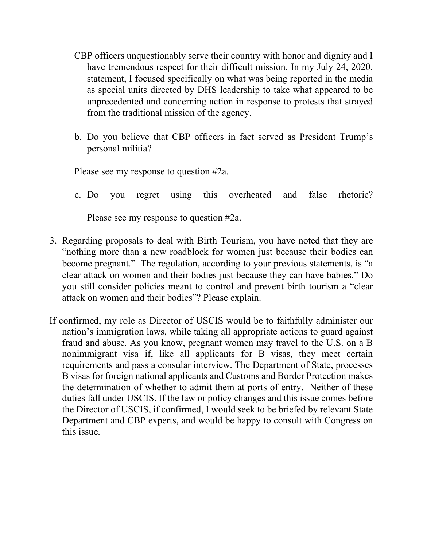- CBP officers unquestionably serve their country with honor and dignity and I have tremendous respect for their difficult mission. In my July 24, 2020, statement, I focused specifically on what was being reported in the media as special units directed by DHS leadership to take what appeared to be unprecedented and concerning action in response to protests that strayed from the traditional mission of the agency.
- b. Do you believe that CBP officers in fact served as President Trump's personal militia?

Please see my response to question #2a.

c. Do you regret using this overheated and false rhetoric?

Please see my response to question #2a.

- 3. Regarding proposals to deal with Birth Tourism, you have noted that they are "nothing more than a new roadblock for women just because their bodies can become pregnant." The regulation, according to your previous statements, is "a clear attack on women and their bodies just because they can have babies." Do you still consider policies meant to control and prevent birth tourism a "clear attack on women and their bodies"? Please explain.
- If confirmed, my role as Director of USCIS would be to faithfully administer our nation's immigration laws, while taking all appropriate actions to guard against fraud and abuse. As you know, pregnant women may travel to the U.S. on a B nonimmigrant visa if, like all applicants for B visas, they meet certain requirements and pass a consular interview. The Department of State, processes B visas for foreign national applicants and Customs and Border Protection makes the determination of whether to admit them at ports of entry. Neither of these duties fall under USCIS. If the law or policy changes and this issue comes before the Director of USCIS, if confirmed, I would seek to be briefed by relevant State Department and CBP experts, and would be happy to consult with Congress on this issue.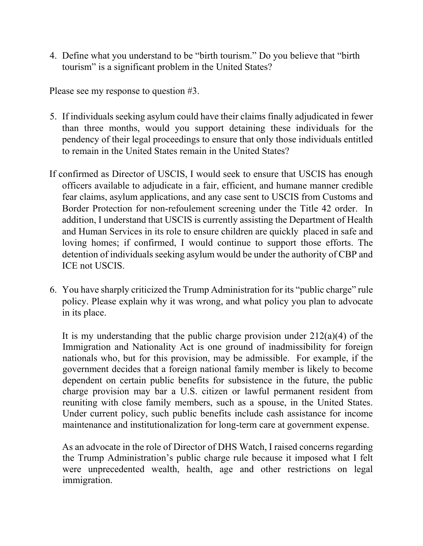4. Define what you understand to be "birth tourism." Do you believe that "birth tourism" is a significant problem in the United States?

Please see my response to question #3.

- 5. If individuals seeking asylum could have their claims finally adjudicated in fewer than three months, would you support detaining these individuals for the pendency of their legal proceedings to ensure that only those individuals entitled to remain in the United States remain in the United States?
- If confirmed as Director of USCIS, I would seek to ensure that USCIS has enough officers available to adjudicate in a fair, efficient, and humane manner credible fear claims, asylum applications, and any case sent to USCIS from Customs and Border Protection for non-refoulement screening under the Title 42 order. In addition, I understand that USCIS is currently assisting the Department of Health and Human Services in its role to ensure children are quickly placed in safe and loving homes; if confirmed, I would continue to support those efforts. The detention of individuals seeking asylum would be under the authority of CBP and ICE not USCIS.
- 6. You have sharply criticized the Trump Administration for its "public charge" rule policy. Please explain why it was wrong, and what policy you plan to advocate in its place.

It is my understanding that the public charge provision under 212(a)(4) of the Immigration and Nationality Act is one ground of inadmissibility for foreign nationals who, but for this provision, may be admissible. For example, if the government decides that a foreign national family member is likely to become dependent on certain public benefits for subsistence in the future, the public charge provision may bar a U.S. citizen or lawful permanent resident from reuniting with close family members, such as a spouse, in the United States. Under current policy, such public benefits include cash assistance for income maintenance and institutionalization for long-term care at government expense.

As an advocate in the role of Director of DHS Watch, I raised concerns regarding the Trump Administration's public charge rule because it imposed what I felt were unprecedented wealth, health, age and other restrictions on legal immigration.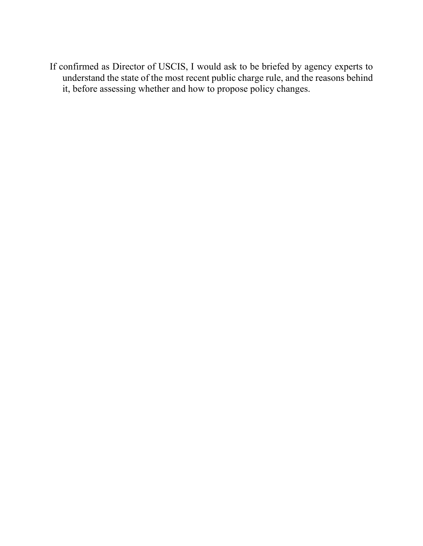If confirmed as Director of USCIS, I would ask to be briefed by agency experts to understand the state of the most recent public charge rule, and the reasons behind it, before assessing whether and how to propose policy changes.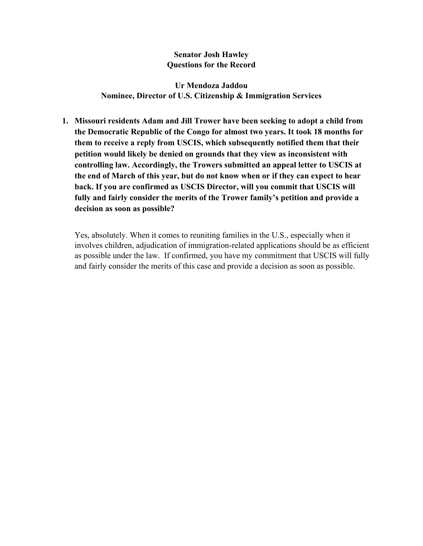#### **Senator Josh Hawley Questions for the Record**

**Ur Mendoza Jaddou Nominee, Director of U.S. Citizenship & Immigration Services**

**1. Missouri residents Adam and Jill Trower have been seeking to adopt a child from the Democratic Republic of the Congo for almost two years. It took 18 months for them to receive a reply from USCIS, which subsequently notified them that their petition would likely be denied on grounds that they view as inconsistent with controlling law. Accordingly, the Trowers submitted an appeal letter to USCIS at the end of March of this year, but do not know when or if they can expect to hear back. If you are confirmed as USCIS Director, will you commit that USCIS will fully and fairly consider the merits of the Trower family's petition and provide a decision as soon as possible?**

Yes, absolutely. When it comes to reuniting families in the U.S., especially when it involves children, adjudication of immigration-related applications should be as efficient as possible under the law. If confirmed, you have my commitment that USCIS will fully and fairly consider the merits of this case and provide a decision as soon as possible.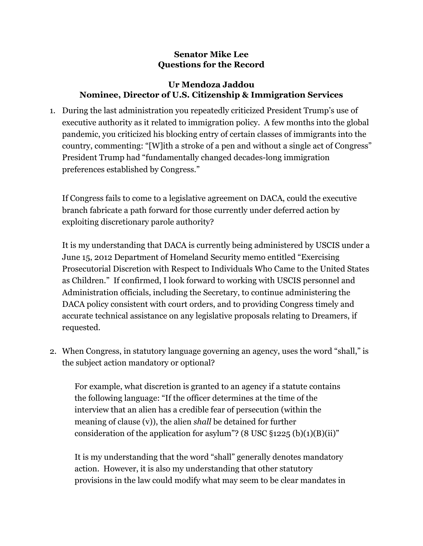### **Senator Mike Lee Questions for the Record**

### **Ur Mendoza Jaddou Nominee, Director of U.S. Citizenship & Immigration Services**

1. During the last administration you repeatedly criticized President Trump's use of executive authority as it related to immigration policy. A few months into the global pandemic, you criticized his blocking entry of certain classes of immigrants into the country, commenting: "[W]ith a stroke of a pen and without a single act of Congress" President Trump had "fundamentally changed decades-long immigration preferences established by Congress."

If Congress fails to come to a legislative agreement on DACA, could the executive branch fabricate a path forward for those currently under deferred action by exploiting discretionary parole authority?

It is my understanding that DACA is currently being administered by USCIS under a June 15, 2012 Department of Homeland Security memo entitled "Exercising Prosecutorial Discretion with Respect to Individuals Who Came to the United States as Children." If confirmed, I look forward to working with USCIS personnel and Administration officials, including the Secretary, to continue administering the DACA policy consistent with court orders, and to providing Congress timely and accurate technical assistance on any legislative proposals relating to Dreamers, if requested.

2. When Congress, in statutory language governing an agency, uses the word "shall," is the subject action mandatory or optional?

For example, what discretion is granted to an agency if a statute contains the following language: "If the officer determines at the time of the interview that an alien has a credible fear of persecution (within the meaning of clause (v)), the alien *shall* be detained for further consideration of the application for asylum"? (8 USC  $\S$ 1225 (b)(1)(B)(ii)"

It is my understanding that the word "shall" generally denotes mandatory action. However, it is also my understanding that other statutory provisions in the law could modify what may seem to be clear mandates in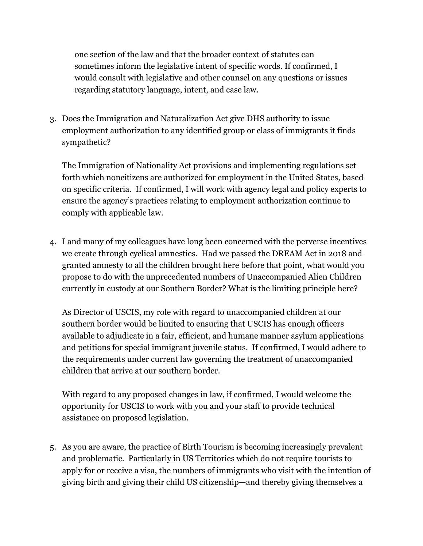one section of the law and that the broader context of statutes can sometimes inform the legislative intent of specific words. If confirmed, I would consult with legislative and other counsel on any questions or issues regarding statutory language, intent, and case law.

3. Does the Immigration and Naturalization Act give DHS authority to issue employment authorization to any identified group or class of immigrants it finds sympathetic?

The Immigration of Nationality Act provisions and implementing regulations set forth which noncitizens are authorized for employment in the United States, based on specific criteria. If confirmed, I will work with agency legal and policy experts to ensure the agency's practices relating to employment authorization continue to comply with applicable law.

4. I and many of my colleagues have long been concerned with the perverse incentives we create through cyclical amnesties. Had we passed the DREAM Act in 2018 and granted amnesty to all the children brought here before that point, what would you propose to do with the unprecedented numbers of Unaccompanied Alien Children currently in custody at our Southern Border? What is the limiting principle here?

As Director of USCIS, my role with regard to unaccompanied children at our southern border would be limited to ensuring that USCIS has enough officers available to adjudicate in a fair, efficient, and humane manner asylum applications and petitions for special immigrant juvenile status. If confirmed, I would adhere to the requirements under current law governing the treatment of unaccompanied children that arrive at our southern border.

With regard to any proposed changes in law, if confirmed, I would welcome the opportunity for USCIS to work with you and your staff to provide technical assistance on proposed legislation.

5. As you are aware, the practice of Birth Tourism is becoming increasingly prevalent and problematic. Particularly in US Territories which do not require tourists to apply for or receive a visa, the numbers of immigrants who visit with the intention of giving birth and giving their child US citizenship—and thereby giving themselves a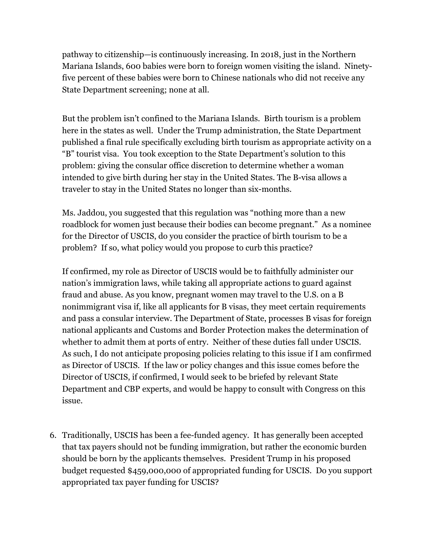pathway to citizenship—is continuously increasing. In 2018, just in the Northern Mariana Islands, 600 babies were born to foreign women visiting the island. Ninetyfive percent of these babies were born to Chinese nationals who did not receive any State Department screening; none at all.

But the problem isn't confined to the Mariana Islands. Birth tourism is a problem here in the states as well. Under the Trump administration, the State Department published a final rule specifically excluding birth tourism as appropriate activity on a "B" tourist visa. You took exception to the State Department's solution to this problem: giving the consular office discretion to determine whether a woman intended to give birth during her stay in the United States. The B-visa allows a traveler to stay in the United States no longer than six-months.

Ms. Jaddou, you suggested that this regulation was "nothing more than a new roadblock for women just because their bodies can become pregnant." As a nominee for the Director of USCIS, do you consider the practice of birth tourism to be a problem? If so, what policy would you propose to curb this practice?

If confirmed, my role as Director of USCIS would be to faithfully administer our nation's immigration laws, while taking all appropriate actions to guard against fraud and abuse. As you know, pregnant women may travel to the U.S. on a B nonimmigrant visa if, like all applicants for B visas, they meet certain requirements and pass a consular interview. The Department of State, processes B visas for foreign national applicants and Customs and Border Protection makes the determination of whether to admit them at ports of entry. Neither of these duties fall under USCIS. As such, I do not anticipate proposing policies relating to this issue if I am confirmed as Director of USCIS. If the law or policy changes and this issue comes before the Director of USCIS, if confirmed, I would seek to be briefed by relevant State Department and CBP experts, and would be happy to consult with Congress on this issue.

6. Traditionally, USCIS has been a fee-funded agency. It has generally been accepted that tax payers should not be funding immigration, but rather the economic burden should be born by the applicants themselves. President Trump in his proposed budget requested \$459,000,000 of appropriated funding for USCIS. Do you support appropriated tax payer funding for USCIS?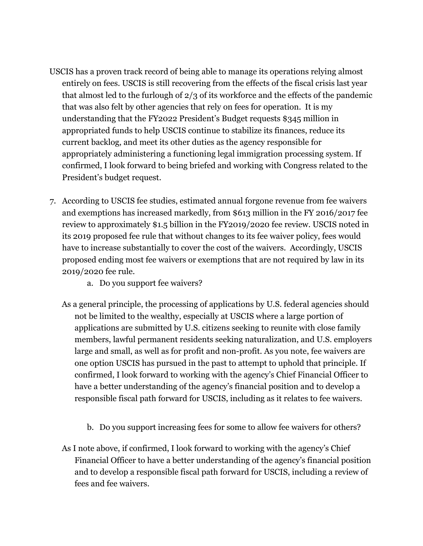- USCIS has a proven track record of being able to manage its operations relying almost entirely on fees. USCIS is still recovering from the effects of the fiscal crisis last year that almost led to the furlough of 2/3 of its workforce and the effects of the pandemic that was also felt by other agencies that rely on fees for operation. It is my understanding that the FY2022 President's Budget requests \$345 million in appropriated funds to help USCIS continue to stabilize its finances, reduce its current backlog, and meet its other duties as the agency responsible for appropriately administering a functioning legal immigration processing system. If confirmed, I look forward to being briefed and working with Congress related to the President's budget request.
- 7. According to USCIS fee studies, estimated annual forgone revenue from fee waivers and exemptions has increased markedly, from \$613 million in the FY 2016/2017 fee review to approximately \$1.5 billion in the FY2019/2020 fee review. USCIS noted in its 2019 proposed fee rule that without changes to its fee waiver policy, fees would have to increase substantially to cover the cost of the waivers. Accordingly, USCIS proposed ending most fee waivers or exemptions that are not required by law in its 2019/2020 fee rule.
	- a. Do you support fee waivers?
	- As a general principle, the processing of applications by U.S. federal agencies should not be limited to the wealthy, especially at USCIS where a large portion of applications are submitted by U.S. citizens seeking to reunite with close family members, lawful permanent residents seeking naturalization, and U.S. employers large and small, as well as for profit and non-profit. As you note, fee waivers are one option USCIS has pursued in the past to attempt to uphold that principle. If confirmed, I look forward to working with the agency's Chief Financial Officer to have a better understanding of the agency's financial position and to develop a responsible fiscal path forward for USCIS, including as it relates to fee waivers.
		- b. Do you support increasing fees for some to allow fee waivers for others?
	- As I note above, if confirmed, I look forward to working with the agency's Chief Financial Officer to have a better understanding of the agency's financial position and to develop a responsible fiscal path forward for USCIS, including a review of fees and fee waivers.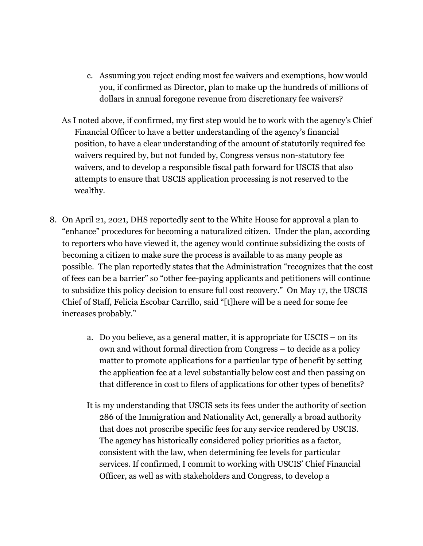- c. Assuming you reject ending most fee waivers and exemptions, how would you, if confirmed as Director, plan to make up the hundreds of millions of dollars in annual foregone revenue from discretionary fee waivers?
- As I noted above, if confirmed, my first step would be to work with the agency's Chief Financial Officer to have a better understanding of the agency's financial position, to have a clear understanding of the amount of statutorily required fee waivers required by, but not funded by, Congress versus non-statutory fee waivers, and to develop a responsible fiscal path forward for USCIS that also attempts to ensure that USCIS application processing is not reserved to the wealthy.
- 8. On April 21, 2021, DHS reportedly sent to the White House for approval a plan to "enhance" procedures for becoming a naturalized citizen. Under the plan, according to reporters who have viewed it, the agency would continue subsidizing the costs of becoming a citizen to make sure the process is available to as many people as possible. The plan reportedly states that the Administration "recognizes that the cost of fees can be a barrier" so "other fee-paying applicants and petitioners will continue to subsidize this policy decision to ensure full cost recovery." On May 17, the USCIS Chief of Staff, Felicia Escobar Carrillo, said "[t]here will be a need for some fee increases probably."
	- a. Do you believe, as a general matter, it is appropriate for USCIS on its own and without formal direction from Congress – to decide as a policy matter to promote applications for a particular type of benefit by setting the application fee at a level substantially below cost and then passing on that difference in cost to filers of applications for other types of benefits?
	- It is my understanding that USCIS sets its fees under the authority of section 286 of the Immigration and Nationality Act, generally a broad authority that does not proscribe specific fees for any service rendered by USCIS. The agency has historically considered policy priorities as a factor, consistent with the law, when determining fee levels for particular services. If confirmed, I commit to working with USCIS' Chief Financial Officer, as well as with stakeholders and Congress, to develop a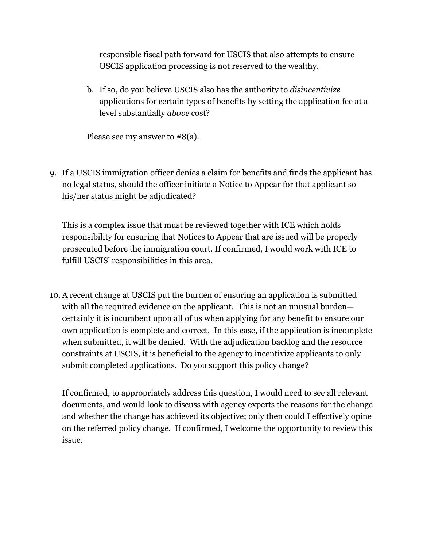responsible fiscal path forward for USCIS that also attempts to ensure USCIS application processing is not reserved to the wealthy.

b. If so, do you believe USCIS also has the authority to *disincentivize* applications for certain types of benefits by setting the application fee at a level substantially *above* cost?

Please see my answer to #8(a).

9. If a USCIS immigration officer denies a claim for benefits and finds the applicant has no legal status, should the officer initiate a Notice to Appear for that applicant so his/her status might be adjudicated?

This is a complex issue that must be reviewed together with ICE which holds responsibility for ensuring that Notices to Appear that are issued will be properly prosecuted before the immigration court. If confirmed, I would work with ICE to fulfill USCIS' responsibilities in this area.

10. A recent change at USCIS put the burden of ensuring an application is submitted with all the required evidence on the applicant. This is not an unusual burden certainly it is incumbent upon all of us when applying for any benefit to ensure our own application is complete and correct. In this case, if the application is incomplete when submitted, it will be denied. With the adjudication backlog and the resource constraints at USCIS, it is beneficial to the agency to incentivize applicants to only submit completed applications. Do you support this policy change?

If confirmed, to appropriately address this question, I would need to see all relevant documents, and would look to discuss with agency experts the reasons for the change and whether the change has achieved its objective; only then could I effectively opine on the referred policy change. If confirmed, I welcome the opportunity to review this issue.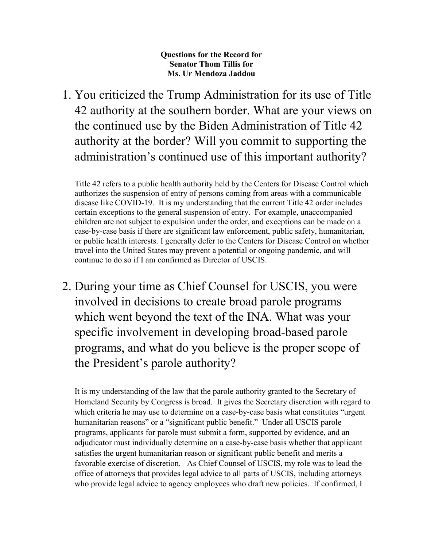**Questions for the Record for Senator Thom Tillis for Ms. Ur Mendoza Jaddou**

1. You criticized the Trump Administration for its use of Title 42 authority at the southern border. What are your views on the continued use by the Biden Administration of Title 42 authority at the border? Will you commit to supporting the administration's continued use of this important authority?

Title 42 refers to a public health authority held by the Centers for Disease Control which authorizes the suspension of entry of persons coming from areas with a communicable disease like COVID-19. It is my understanding that the current Title 42 order includes certain exceptions to the general suspension of entry. For example, unaccompanied children are not subject to expulsion under the order, and exceptions can be made on a case-by-case basis if there are significant law enforcement, public safety, humanitarian, or public health interests. I generally defer to the Centers for Disease Control on whether travel into the United States may prevent a potential or ongoing pandemic, and will continue to do so if I am confirmed as Director of USCIS.

2. During your time as Chief Counsel for USCIS, you were involved in decisions to create broad parole programs which went beyond the text of the INA. What was your specific involvement in developing broad-based parole programs, and what do you believe is the proper scope of the President's parole authority?

It is my understanding of the law that the parole authority granted to the Secretary of Homeland Security by Congress is broad. It gives the Secretary discretion with regard to which criteria he may use to determine on a case-by-case basis what constitutes "urgent humanitarian reasons" or a "significant public benefit." Under all USCIS parole programs, applicants for parole must submit a form, supported by evidence, and an adjudicator must individually determine on a case-by-case basis whether that applicant satisfies the urgent humanitarian reason or significant public benefit and merits a favorable exercise of discretion. As Chief Counsel of USCIS, my role was to lead the office of attorneys that provides legal advice to all parts of USCIS, including attorneys who provide legal advice to agency employees who draft new policies. If confirmed, I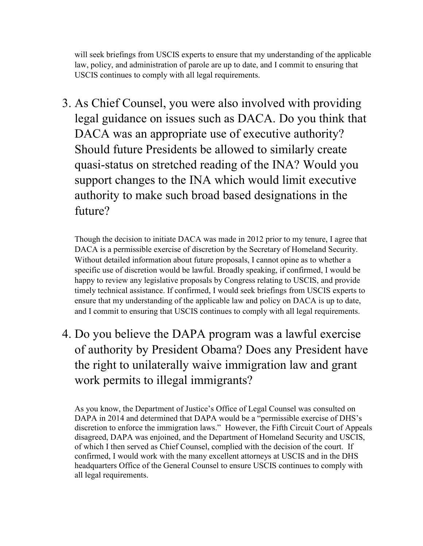will seek briefings from USCIS experts to ensure that my understanding of the applicable law, policy, and administration of parole are up to date, and I commit to ensuring that USCIS continues to comply with all legal requirements.

3. As Chief Counsel, you were also involved with providing legal guidance on issues such as DACA. Do you think that DACA was an appropriate use of executive authority? Should future Presidents be allowed to similarly create quasi-status on stretched reading of the INA? Would you support changes to the INA which would limit executive authority to make such broad based designations in the future?

Though the decision to initiate DACA was made in 2012 prior to my tenure, I agree that DACA is a permissible exercise of discretion by the Secretary of Homeland Security. Without detailed information about future proposals, I cannot opine as to whether a specific use of discretion would be lawful. Broadly speaking, if confirmed, I would be happy to review any legislative proposals by Congress relating to USCIS, and provide timely technical assistance. If confirmed, I would seek briefings from USCIS experts to ensure that my understanding of the applicable law and policy on DACA is up to date, and I commit to ensuring that USCIS continues to comply with all legal requirements.

4. Do you believe the DAPA program was a lawful exercise of authority by President Obama? Does any President have the right to unilaterally waive immigration law and grant work permits to illegal immigrants?

As you know, the Department of Justice's Office of Legal Counsel was consulted on DAPA in 2014 and determined that DAPA would be a "permissible exercise of DHS's discretion to enforce the immigration laws." However, the Fifth Circuit Court of Appeals disagreed, DAPA was enjoined, and the Department of Homeland Security and USCIS, of which I then served as Chief Counsel, complied with the decision of the court. If confirmed, I would work with the many excellent attorneys at USCIS and in the DHS headquarters Office of the General Counsel to ensure USCIS continues to comply with all legal requirements.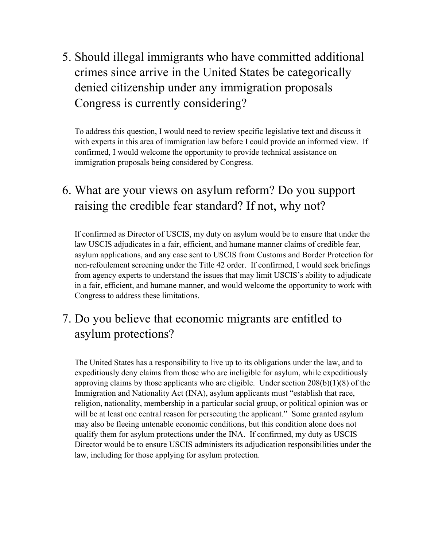5. Should illegal immigrants who have committed additional crimes since arrive in the United States be categorically denied citizenship under any immigration proposals Congress is currently considering?

To address this question, I would need to review specific legislative text and discuss it with experts in this area of immigration law before I could provide an informed view. If confirmed, I would welcome the opportunity to provide technical assistance on immigration proposals being considered by Congress.

# 6. What are your views on asylum reform? Do you support raising the credible fear standard? If not, why not?

If confirmed as Director of USCIS, my duty on asylum would be to ensure that under the law USCIS adjudicates in a fair, efficient, and humane manner claims of credible fear, asylum applications, and any case sent to USCIS from Customs and Border Protection for non-refoulement screening under the Title 42 order. If confirmed, I would seek briefings from agency experts to understand the issues that may limit USCIS's ability to adjudicate in a fair, efficient, and humane manner, and would welcome the opportunity to work with Congress to address these limitations.

# 7. Do you believe that economic migrants are entitled to asylum protections?

The United States has a responsibility to live up to its obligations under the law, and to expeditiously deny claims from those who are ineligible for asylum, while expeditiously approving claims by those applicants who are eligible. Under section  $208(b)(1)(8)$  of the Immigration and Nationality Act (INA), asylum applicants must "establish that race, religion, nationality, membership in a particular social group, or political opinion was or will be at least one central reason for persecuting the applicant." Some granted asylum may also be fleeing untenable economic conditions, but this condition alone does not qualify them for asylum protections under the INA. If confirmed, my duty as USCIS Director would be to ensure USCIS administers its adjudication responsibilities under the law, including for those applying for asylum protection.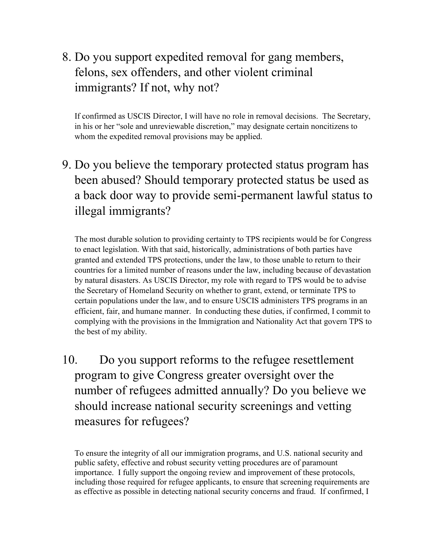# 8. Do you support expedited removal for gang members, felons, sex offenders, and other violent criminal immigrants? If not, why not?

If confirmed as USCIS Director, I will have no role in removal decisions. The Secretary, in his or her "sole and unreviewable discretion," may designate certain noncitizens to whom the expedited removal provisions may be applied.

9. Do you believe the temporary protected status program has been abused? Should temporary protected status be used as a back door way to provide semi-permanent lawful status to illegal immigrants?

The most durable solution to providing certainty to TPS recipients would be for Congress to enact legislation. With that said, historically, administrations of both parties have granted and extended TPS protections, under the law, to those unable to return to their countries for a limited number of reasons under the law, including because of devastation by natural disasters. As USCIS Director, my role with regard to TPS would be to advise the Secretary of Homeland Security on whether to grant, extend, or terminate TPS to certain populations under the law, and to ensure USCIS administers TPS programs in an efficient, fair, and humane manner. In conducting these duties, if confirmed, I commit to complying with the provisions in the Immigration and Nationality Act that govern TPS to the best of my ability.

10. Do you support reforms to the refugee resettlement program to give Congress greater oversight over the number of refugees admitted annually? Do you believe we should increase national security screenings and vetting measures for refugees?

To ensure the integrity of all our immigration programs, and U.S. national security and public safety, effective and robust security vetting procedures are of paramount importance. I fully support the ongoing review and improvement of these protocols, including those required for refugee applicants, to ensure that screening requirements are as effective as possible in detecting national security concerns and fraud. If confirmed, I